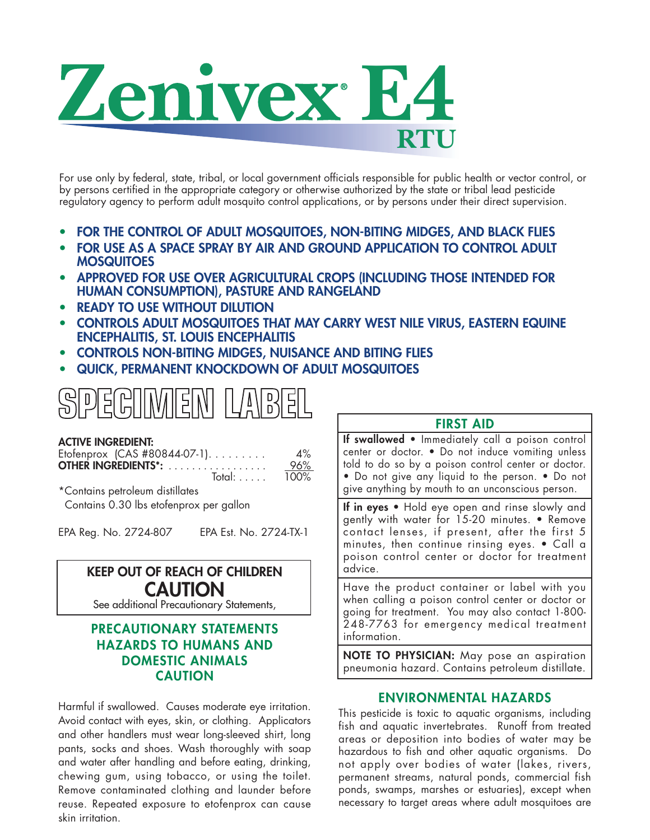

For use only by federal, state, tribal, or local government officials responsible for public health or vector control, or by persons certified in the appropriate category or otherwise authorized by the state or tribal lead pesticide regulatory agency to perform adult mosquito control applications, or by persons under their direct supervision.

- **• FOR THE CONTROL OF ADULT MOSQUITOES, NON-BITING MIDGES, AND BLACK FLIES**
- **• FOR USE AS A SPACE SPRAY BY AIR AND GROUND APPLICATION TO CONTROL ADULT MOSQUITOES**
- **• APPROVED FOR USE OVER AGRICULTURAL CROPS (INCLUDING THOSE INTENDED FOR HUMAN CONSUMPTION), PASTURE AND RANGELAND**
- **• READY TO USE WITHOUT DILUTION**
- **• CONTROLS ADULT MOSQUITOES THAT MAY CARRY WEST NILE VIRUS, EASTERN EQUINE ENCEPHALITIS, ST. LOUIS ENCEPHALITIS**
- **• CONTROLS NON-BITING MIDGES, NUISANCE AND BITING FLIES**
- **• QUICK, PERMANENT KNOCKDOWN OF ADULT MOSQUITOES**



#### **ACTIVE INGREDIENT:**

| Etofenprox $(CAS #80844-07-1)$ | $4\%$ |
|--------------------------------|-------|
| <b>OTHER INGREDIENTS*:</b>     | 96%   |
| Total:                         | 100%  |

\*Contains petroleum distillates Contains 0.30 lbs etofenprox per gallon

EPA Reg. No. 2724-807 EPA Est. No. 2724-TX-1

# **KEEP OUT OF REACH OF CHILDREN CAUTION**

See additional Precautionary Statements,

# **PRECAUTIONARY STATEMENTS HAZARDS TO HUMANS AND DOMESTIC ANIMALS CAUTION**

Harmful if swallowed. Causes moderate eye irritation. Avoid contact with eyes, skin, or clothing. Applicators and other handlers must wear long-sleeved shirt, long pants, socks and shoes. Wash thoroughly with soap and water after handling and before eating, drinking, chewing gum, using tobacco, or using the toilet. Remove contaminated clothing and launder before reuse. Repeated exposure to etofenprox can cause skin irritation.

# **FIRST AID**

**If swallowed** • Immediately call a poison control center or doctor. • Do not induce vomiting unless told to do so by a poison control center or doctor. • Do not give any liquid to the person. • Do not give anything by mouth to an unconscious person.

**If in eyes** • Hold eye open and rinse slowly and gently with water for 15-20 minutes. • Remove contact lenses, if present, after the first 5 minutes, then continue rinsing eyes. • Call a poison control center or doctor for treatment advice.

Have the product container or label with you when calling a poison control center or doctor or going for treatment. You may also contact 1-800- 248-7763 for emergency medical treatment information.

**NOTE TO PHYSICIAN:** May pose an aspiration pneumonia hazard. Contains petroleum distillate.

# **ENVIRONMENTAL HAZARDS**

This pesticide is toxic to aquatic organisms, including fish and aquatic invertebrates. Runoff from treated areas or deposition into bodies of water may be hazardous to fish and other aquatic organisms. Do not apply over bodies of water (lakes, rivers, permanent streams, natural ponds, commercial fish ponds, swamps, marshes or estuaries), except when necessary to target areas where adult mosquitoes are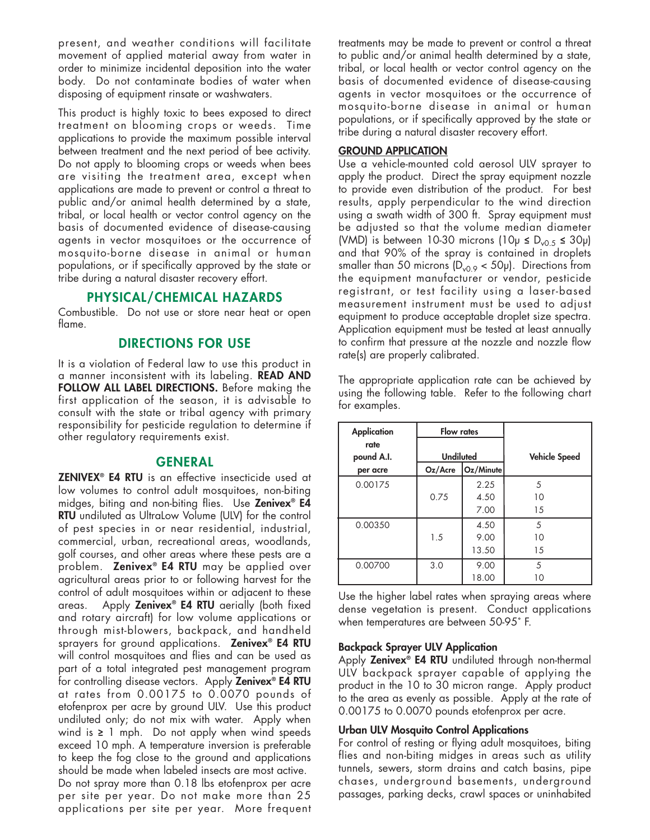present, and weather conditions will facilitate movement of applied material away from water in order to minimize incidental deposition into the water body. Do not contaminate bodies of water when disposing of equipment rinsate or washwaters.

This product is highly toxic to bees exposed to direct treatment on blooming crops or weeds. Time applications to provide the maximum possible interval between treatment and the next period of bee activity. Do not apply to blooming crops or weeds when bees are visiting the treatment area, except when applications are made to prevent or control a threat to public and/or animal health determined by a state, tribal, or local health or vector control agency on the basis of documented evidence of disease-causing agents in vector mosquitoes or the occurrence of mosquito-borne disease in animal or human populations, or if specifically approved by the state or tribe during a natural disaster recovery effort.

## **PHYSICAL/CHEMICAL HAZARDS**

Combustible. Do not use or store near heat or open flame.

## **DIRECTIONS FOR USE**

It is a violation of Federal law to use this product in a manner inconsistent with its labeling. **READ AND FOLLOW ALL LABEL DIRECTIONS.** Before making the first application of the season, it is advisable to consult with the state or tribal agency with primary responsibility for pesticide regulation to determine if other regulatory requirements exist.

#### **GENERAL**

**ZENIVEX® E4 RTU** is an effective insecticide used at low volumes to control adult mosquitoes, non-biting midges, biting and non-biting flies. Use **Zenivex® E4 RTU** undiluted as UltraLow Volume (ULV) for the control of pest species in or near residential, industrial, commercial, urban, recreational areas, woodlands, golf courses, and other areas where these pests are a problem. **Zenivex® E4 RTU** may be applied over agricultural areas prior to or following harvest for the control of adult mosquitoes within or adjacent to these areas. Apply **Zenivex® E4 RTU** aerially (both fixed and rotary aircraft) for low volume applications or through mist-blowers, backpack, and handheld sprayers for ground applications. **Zenivex® E4 RTU** will control mosquitoes and flies and can be used as part of a total integrated pest management program for controlling disease vectors. Apply **Zenivex® E4 RTU** at rates from 0.00175 to 0.0070 pounds of etofenprox per acre by ground ULV. Use this product undiluted only; do not mix with water. Apply when wind is **≥** 1 mph. Do not apply when wind speeds exceed 10 mph. A temperature inversion is preferable to keep the fog close to the ground and applications should be made when labeled insects are most active. Do not spray more than 0.18 lbs etofenprox per acre per site per year. Do not make more than 25 applications per site per year. More frequent treatments may be made to prevent or control a threat to public and/or animal health determined by a state, tribal, or local health or vector control agency on the basis of documented evidence of disease-causing agents in vector mosquitoes or the occurrence of mosquito-borne disease in animal or human populations, or if specifically approved by the state or tribe during a natural disaster recovery effort.

#### **GROUND APPLICATION**

Use a vehicle-mounted cold aerosol ULV sprayer to apply the product. Direct the spray equipment nozzle to provide even distribution of the product. For best results, apply perpendicular to the wind direction using a swath width of 300 ft. Spray equipment must be adjusted so that the volume median diameter (VMD) is between 10-30 microns (10 $\mu$   $\leq$  D<sub>v0.5</sub>  $\leq$  30 $\mu$ ) and that 90% of the spray is contained in droplets smaller than 50 microns  $(D<sub>v0.9</sub> < 50<sub>\mu</sub>)$ . Directions from the equipment manufacturer or vendor, pesticide registrant, or test facility using a laser-based measurement instrument must be used to adjust equipment to produce acceptable droplet size spectra. Application equipment must be tested at least annually to confirm that pressure at the nozzle and nozzle flow rate(s) are properly calibrated.

| <b>Application</b> | <b>Flow rates</b> |           |                      |
|--------------------|-------------------|-----------|----------------------|
| rate<br>pound A.I. | <b>Undiluted</b>  |           | <b>Vehicle Speed</b> |
| per acre           | Oz/Accre          | Oz/Minute |                      |
| 0.00175            |                   | 2.25      | 5                    |
|                    | 0.75              | 4.50      | 10                   |
|                    |                   | 7.00      | 15                   |
| 0.00350            |                   | 4.50      | 5                    |
|                    | 1.5               | 9.00      | 10                   |
|                    |                   | 13.50     | 15                   |
| 0.00700            | 3.0               | 9.00      | 5                    |
|                    |                   | 18.00     | 10                   |

The appropriate application rate can be achieved by using the following table. Refer to the following chart for examples.

Use the higher label rates when spraying areas where dense vegetation is present. Conduct applications when temperatures are between 50-95˚ F.

#### **Backpack Sprayer ULV Application**

Apply **Zenivex® E4 RTU** undiluted through non-thermal ULV backpack sprayer capable of applying the product in the 10 to 30 micron range. Apply product to the area as evenly as possible. Apply at the rate of 0.00175 to 0.0070 pounds etofenprox per acre.

#### **Urban ULV Mosquito Control Applications**

For control of resting or flying adult mosquitoes, biting flies and non-biting midges in areas such as utility tunnels, sewers, storm drains and catch basins, pipe chases, underground basements, underground passages, parking decks, crawl spaces or uninhabited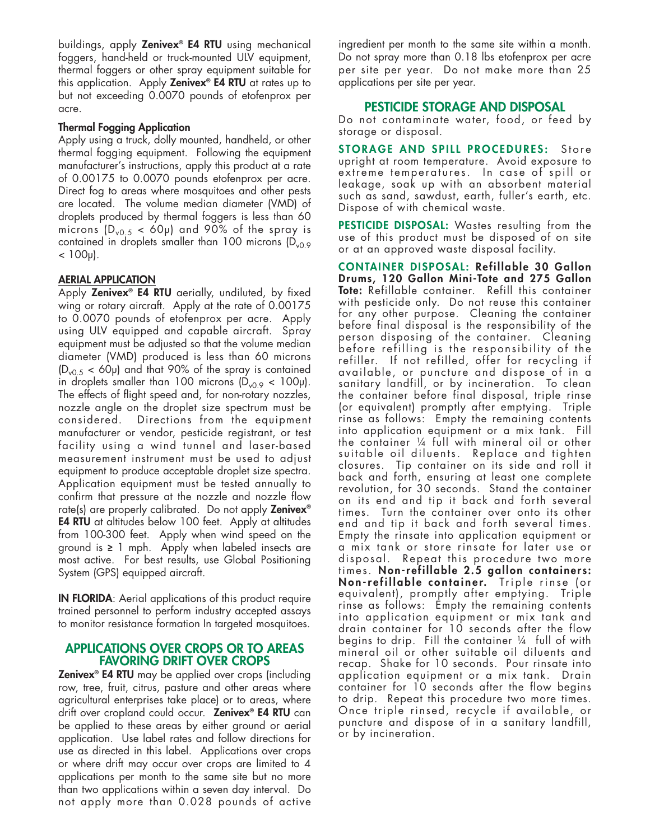buildings, apply **Zenivex® E4 RTU** using mechanical foggers, hand-held or truck-mounted ULV equipment, thermal foggers or other spray equipment suitable for this application. Apply **Zenivex® E4 RTU** at rates up to but not exceeding 0.0070 pounds of etofenprox per acre.

#### **Thermal Fogging Application**

Apply using a truck, dolly mounted, handheld, or other thermal fogging equipment. Following the equipment manufacturer's instructions, apply this product at a rate of 0.00175 to 0.0070 pounds etofenprox per acre. Direct fog to areas where mosquitoes and other pests are located. The volume median diameter (VMD) of droplets produced by thermal foggers is less than 60 microns  $(D_{v0.5} < 60 \mu)$  and 90% of the spray is contained in droplets smaller than 100 microns  $(D_{v0.9}$  $< 100 \mu$ ).

### **AERIAL APPLICATION**

Apply **Zenivex® E4 RTU** aerially, undiluted, by fixed wing or rotary aircraft. Apply at the rate of 0.00175 to 0.0070 pounds of etofenprox per acre. Apply using ULV equipped and capable aircraft. Spray equipment must be adjusted so that the volume median diameter (VMD) produced is less than 60 microns  $(D<sub>v0.5</sub> < 60)$  and that 90% of the spray is contained in droplets smaller than 100 microns  $(D_{v0.9} < 100 \mu)$ . The effects of flight speed and, for non-rotary nozzles, nozzle angle on the droplet size spectrum must be considered. Directions from the equipment manufacturer or vendor, pesticide registrant, or test facility using a wind tunnel and laser-based measurement instrument must be used to adjust equipment to produce acceptable droplet size spectra. Application equipment must be tested annually to confirm that pressure at the nozzle and nozzle flow rate(s) are properly calibrated. Do not apply **Zenivex® E4 RTU** at altitudes below 100 feet. Apply at altitudes from 100-300 feet. Apply when wind speed on the ground is **≥** 1 mph. Apply when labeled insects are most active. For best results, use Global Positioning System (GPS) equipped aircraft.

**IN FLORIDA**: Aerial applications of this product require trained personnel to perform industry accepted assays to monitor resistance formation In targeted mosquitoes.

#### **APPLICATIONS OVER CROPS OR TO AREAS FAVORING DRIFT OVER CROPS**

**Zenivex® E4 RTU** may be applied over crops (including row, tree, fruit, citrus, pasture and other areas where agricultural enterprises take place) or to areas, where drift over cropland could occur. **Zenivex® E4 RTU** can be applied to these areas by either ground or aerial application. Use label rates and follow directions for use as directed in this label. Applications over crops or where drift may occur over crops are limited to 4 applications per month to the same site but no more than two applications within a seven day interval. Do not apply more than 0.028 pounds of active ingredient per month to the same site within a month. Do not spray more than 0.18 lbs etofenprox per acre per site per year. Do not make more than 25 applications per site per year.

### **PESTICIDE STORAGE AND DISPOSAL**

Do not contaminate water, food, or feed by storage or disposal.

**S TORAGE AND S P I L L P ROCEDUR E S :** S t o r e upright at room temperature. Avoid exposure to extreme temperatures. In case of spill or leakage, soak up with an absorbent material such as sand, sawdust, earth, fuller's earth, etc. Dispose of with chemical waste.

**PESTICIDE DISPOSAL:** Wastes resulting from the use of this product must be disposed of on site or at an approved waste disposal facility.

**CONTAINER DISPOSAL : Refillable 30 Gallon Drums, 120 Gallon Mini-Tote and 275 Gallon Tote:** Refillable container. Refill this container with pesticide only. Do not reuse this container for any other purpose. Cleaning the container before final disposal is the responsibility of the person disposing of the container. Cleaning before refilling is the responsibility of the refiller. If not refilled, offer for recycling if available, or puncture and dispose of in a sanitary landfill, or by incineration. To clean the container before final disposal, triple rinse (or equivalent) promptly after emptying. Triple rinse as follows: Empty the remaining contents into application equipment or a mix tank. Fill the container ¼ full with mineral oil or other suitable oil diluents. Replace and tighten closures. Tip container on its side and roll it back and forth, ensuring at least one complete revolution, for 30 seconds. Stand the container on its end and tip it back and forth several times. Turn the container over onto its other end and tip it back and forth several times. Empty the rinsate into application equipment or a mix tank or store rinsate for later use or disposal. Repeat this procedure two more times. **Non-refillable 2.5 gallon container s : No n -r e fi l l a b l e c o n t a i n e r.** Tri p l e ri n s e ( o r equivalent), promptly after emptying. Triple rinse as follows: Empty the remaining contents into application equipment or mix tank and drain container for 10 seconds after the flow begins to drip. Fill the container ¼ full of with mineral oil or other suitable oil diluents and recap. Shake for 10 seconds. Pour rinsate into application equipment or a mix tank. Drain container for 10 seconds after the flow begins to drip. Repeat this procedure two more times. Once triple rinsed, recycle if available, or puncture and dispose of in a sanitary landfill, or by incineration.